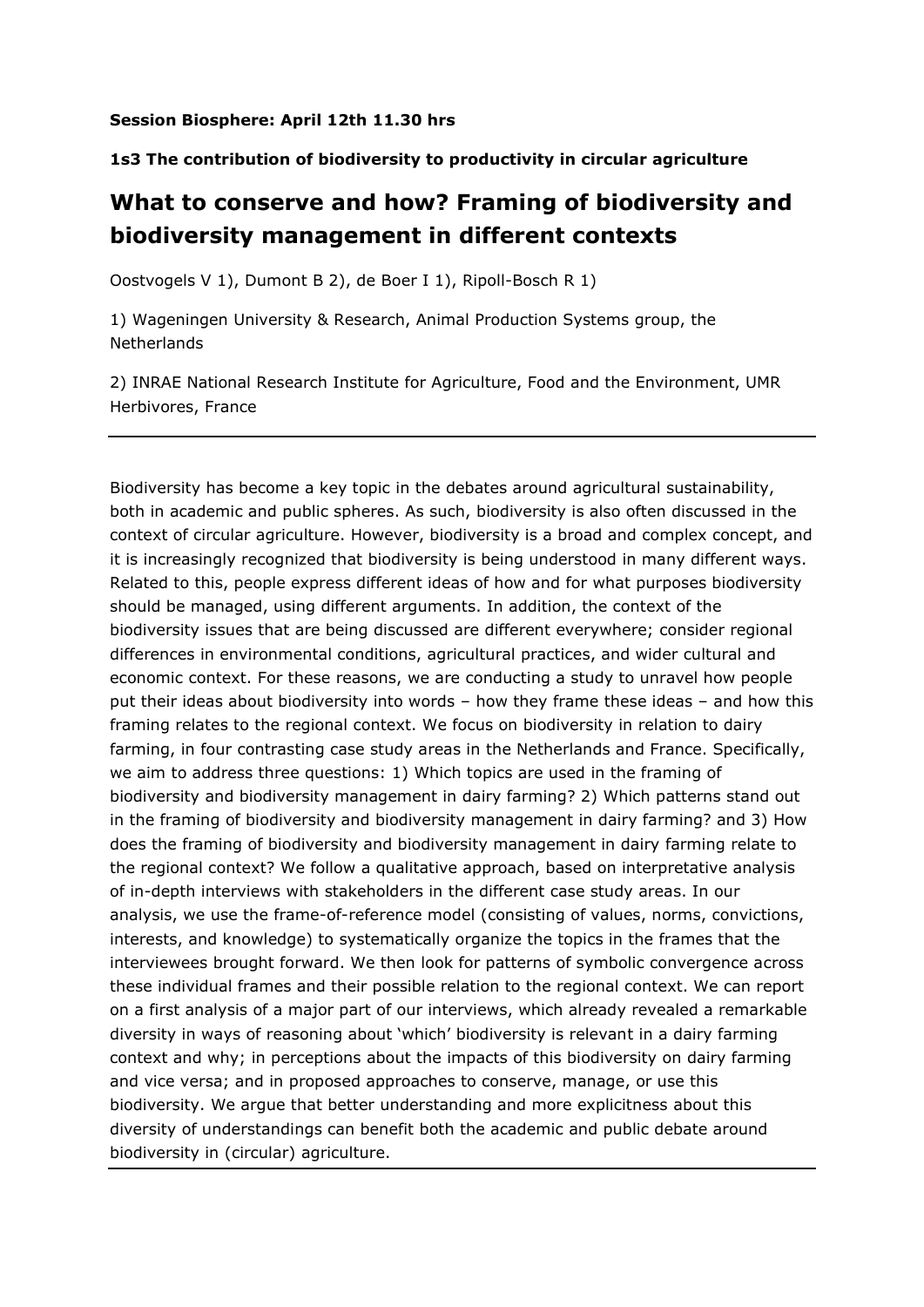## **Session Biosphere: April 12th 11.30 hrs**

## **1s3 The contribution of biodiversity to productivity in circular agriculture**

## **What to conserve and how? Framing of biodiversity and biodiversity management in different contexts**

Oostvogels V 1), Dumont B 2), de Boer I 1), Ripoll-Bosch R 1)

1) Wageningen University & Research, Animal Production Systems group, the **Netherlands** 

2) INRAE National Research Institute for Agriculture, Food and the Environment, UMR Herbivores, France

Biodiversity has become a key topic in the debates around agricultural sustainability, both in academic and public spheres. As such, biodiversity is also often discussed in the context of circular agriculture. However, biodiversity is a broad and complex concept, and it is increasingly recognized that biodiversity is being understood in many different ways. Related to this, people express different ideas of how and for what purposes biodiversity should be managed, using different arguments. In addition, the context of the biodiversity issues that are being discussed are different everywhere; consider regional differences in environmental conditions, agricultural practices, and wider cultural and economic context. For these reasons, we are conducting a study to unravel how people put their ideas about biodiversity into words – how they frame these ideas – and how this framing relates to the regional context. We focus on biodiversity in relation to dairy farming, in four contrasting case study areas in the Netherlands and France. Specifically, we aim to address three questions: 1) Which topics are used in the framing of biodiversity and biodiversity management in dairy farming? 2) Which patterns stand out in the framing of biodiversity and biodiversity management in dairy farming? and 3) How does the framing of biodiversity and biodiversity management in dairy farming relate to the regional context? We follow a qualitative approach, based on interpretative analysis of in-depth interviews with stakeholders in the different case study areas. In our analysis, we use the frame-of-reference model (consisting of values, norms, convictions, interests, and knowledge) to systematically organize the topics in the frames that the interviewees brought forward. We then look for patterns of symbolic convergence across these individual frames and their possible relation to the regional context. We can report on a first analysis of a major part of our interviews, which already revealed a remarkable diversity in ways of reasoning about 'which' biodiversity is relevant in a dairy farming context and why; in perceptions about the impacts of this biodiversity on dairy farming and vice versa; and in proposed approaches to conserve, manage, or use this biodiversity. We argue that better understanding and more explicitness about this diversity of understandings can benefit both the academic and public debate around biodiversity in (circular) agriculture.